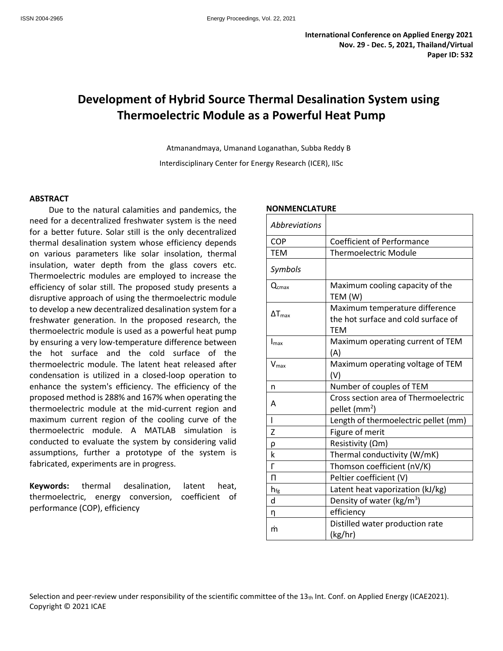# **Development of Hybrid Source Thermal Desalination System using Thermoelectric Module as a Powerful Heat Pump**

Atmanandmaya, Umanand Loganathan, Subba Reddy B Interdisciplinary Center for Energy Research (ICER), IISc

#### **ABSTRACT**

Due to the natural calamities and pandemics, the need for a decentralized freshwater system is the need for a better future. Solar still is the only decentralized thermal desalination system whose efficiency depends on various parameters like solar insolation, thermal insulation, water depth from the glass covers etc. Thermoelectric modules are employed to increase the efficiency of solar still. The proposed study presents a disruptive approach of using the thermoelectric module to develop a new decentralized desalination system for a freshwater generation. In the proposed research, the thermoelectric module is used as a powerful heat pump by ensuring a very low-temperature difference between the hot surface and the cold surface of the thermoelectric module. The latent heat released after condensation is utilized in a closed-loop operation to enhance the system's efficiency. The efficiency of the proposed method is 288% and 167% when operating the thermoelectric module at the mid-current region and maximum current region of the cooling curve of the thermoelectric module. A MATLAB simulation is conducted to evaluate the system by considering valid assumptions, further a prototype of the system is fabricated, experiments are in progress.

**Keywords:** thermal desalination, latent heat, thermoelectric, energy conversion, coefficient of performance (COP), efficiency

# *Abbreviations* COP Coefficient of Performance TEM | Thermoelectric Module *Symbols*  $Q<sub>cmax</sub>$  Maximum cooling capacity of the TEM (W)  $\Delta T_{\text{max}}$ Maximum temperature difference the hot surface and cold surface of **TEM**  $I_{\text{max}}$  Maximum operating current of TEM (A)  $V_{\text{max}}$  Maximum operating voltage of TEM (V) n Number of couples of TEM A Cross section area of Thermoelectric pellet (mm<sup>2</sup>) l Length of thermoelectric pellet (mm) Z | Figure of merit ρ Resistivity (Ωm) k Thermal conductivity (W/mK) Γ Thomson coefficient (nV/K) Π Peltier coefficient (V)  $h_{fg}$  Latent heat vaporization (kJ/kg) d  $\vert$  Density of water (kg/m<sup>3</sup>) η efficiency ṁ Distilled water production rate (kg/hr)

#### **NONMENCLATURE**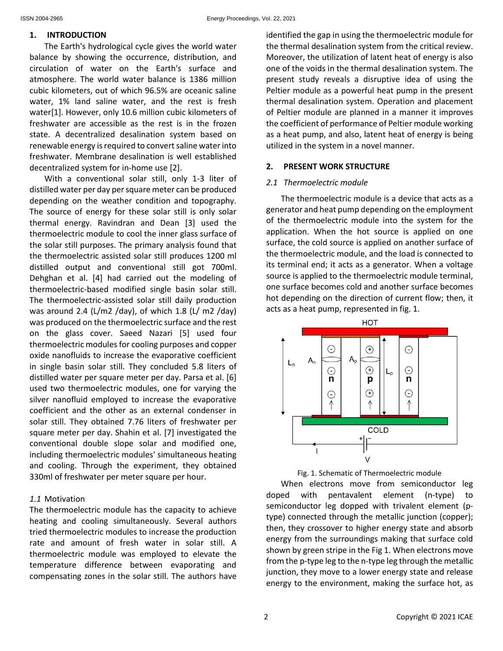#### **1. INTRODUCTION**

The Earth's hydrological cycle gives the world water balance by showing the occurrence, distribution, and circulation of water on the Earth's surface and atmosphere. The world water balance is 1386 million cubic kilometers, out of which 96.5% are oceanic saline water, 1% land saline water, and the rest is fresh water[1]. However, only 10.6 million cubic kilometers of freshwater are accessible as the rest is in the frozen state. A decentralized desalination system based on renewable energy is required to convert saline water into freshwater. Membrane desalination is well established decentralized system for in-home use [2].

With a conventional solar still, only 1-3 liter of distilled water per day per square meter can be produced depending on the weather condition and topography. The source of energy for these solar still is only solar thermal energy. Ravindran and Dean [3] used the thermoelectric module to cool the inner glass surface of the solar still purposes. The primary analysis found that the thermoelectric assisted solar still produces 1200 ml distilled output and conventional still got 700ml. Dehghan et al. [4] had carried out the modeling of thermoelectric-based modified single basin solar still. The thermoelectric-assisted solar still daily production was around 2.4 (L/m2 /day), of which 1.8 (L/ m2 /day) was produced on the thermoelectric surface and the rest on the glass cover. Saeed Nazari [5] used four thermoelectric modules for cooling purposes and copper oxide nanofluids to increase the evaporative coefficient in single basin solar still. They concluded 5.8 liters of distilled water per square meter per day. Parsa et al. [6] used two thermoelectric modules, one for varying the silver nanofluid employed to increase the evaporative coefficient and the other as an external condenser in solar still. They obtained 7.76 liters of freshwater per square meter per day. Shahin et al. [7] investigated the conventional double slope solar and modified one, including thermoelectric modules' simultaneous heating and cooling. Through the experiment, they obtained 330ml of freshwater per meter square per hour.

## *1.1* Motivation

The thermoelectric module has the capacity to achieve heating and cooling simultaneously. Several authors tried thermoelectric modules to increase the production rate and amount of fresh water in solar still. A thermoelectric module was employed to elevate the temperature difference between evaporating and compensating zones in the solar still. The authors have identified the gap in using the thermoelectric module for the thermal desalination system from the critical review. Moreover, the utilization of latent heat of energy is also one of the voids in the thermal desalination system. The present study reveals a disruptive idea of using the Peltier module as a powerful heat pump in the present thermal desalination system. Operation and placement of Peltier module are planned in a manner it improves the coefficient of performance of Peltier module working as a heat pump, and also, latent heat of energy is being utilized in the system in a novel manner.

## **2. PRESENT WORK STRUCTURE**

#### *2.1 Thermoelectric module*

The thermoelectric module is a device that acts as a generator and heat pump depending on the employment of the thermoelectric module into the system for the application. When the hot source is applied on one surface, the cold source is applied on another surface of the thermoelectric module, and the load is connected to its terminal end; it acts as a generator. When a voltage source is applied to the thermoelectric module terminal, one surface becomes cold and another surface becomes hot depending on the direction of current flow; then, it acts as a heat pump, represented in fig. 1.



Fig. 1. Schematic of Thermoelectric module

When electrons move from semiconductor leg doped with pentavalent element (n-type) to semiconductor leg dopped with trivalent element (ptype) connected through the metallic junction (copper); then, they crossover to higher energy state and absorb energy from the surroundings making that surface cold shown by green stripe in the Fig 1. When electrons move from the p-type leg to the n-type leg through the metallic junction, they move to a lower energy state and release energy to the environment, making the surface hot, as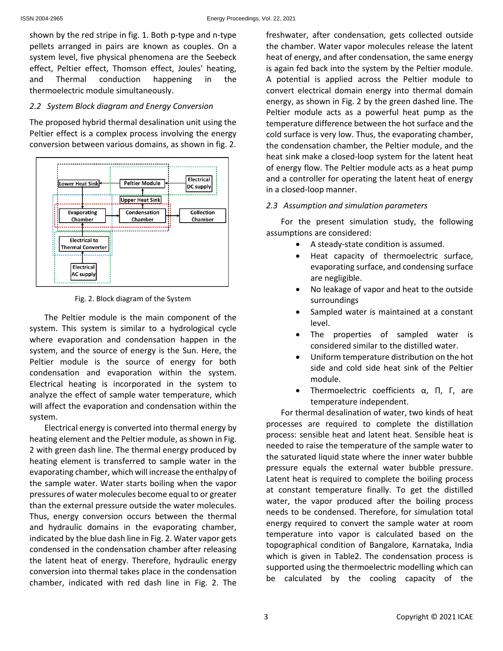shown by the red stripe in fig. 1. Both p-type and n-type pellets arranged in pairs are known as couples. On a system level, five physical phenomena are the Seebeck effect, Peltier effect, Thomson effect, Joules' heating, and Thermal conduction happening in the thermoelectric module simultaneously.

#### *2.2 System Block diagram and Energy Conversion*

The proposed hybrid thermal desalination unit using the Peltier effect is a complex process involving the energy conversion between various domains, as shown in fig. 2.



Fig. 2. Block diagram of the System

The Peltier module is the main component of the system. This system is similar to a hydrological cycle where evaporation and condensation happen in the system, and the source of energy is the Sun. Here, the Peltier module is the source of energy for both condensation and evaporation within the system. Electrical heating is incorporated in the system to analyze the effect of sample water temperature, which will affect the evaporation and condensation within the system.

Electrical energy is converted into thermal energy by heating element and the Peltier module, as shown in Fig. 2 with green dash line. The thermal energy produced by heating element is transferred to sample water in the evaporating chamber, which will increase the enthalpy of the sample water. Water starts boiling when the vapor pressures of water molecules become equal to or greater than the external pressure outside the water molecules. Thus, energy conversion occurs between the thermal and hydraulic domains in the evaporating chamber, indicated by the blue dash line in Fig. 2. Water vapor gets condensed in the condensation chamber after releasing the latent heat of energy. Therefore, hydraulic energy conversion into thermal takes place in the condensation chamber, indicated with red dash line in Fig. 2. The freshwater, after condensation, gets collected outside the chamber. Water vapor molecules release the latent heat of energy, and after condensation, the same energy is again fed back into the system by the Peltier module. A potential is applied across the Peltier module to convert electrical domain energy into thermal domain energy, as shown in Fig. 2 by the green dashed line. The Peltier module acts as a powerful heat pump as the temperature difference between the hot surface and the cold surface is very low. Thus, the evaporating chamber, the condensation chamber, the Peltier module, and the heat sink make a closed-loop system for the latent heat of energy flow. The Peltier module acts as a heat pump and a controller for operating the latent heat of energy in a closed-loop manner.

## *2.3 Assumption and simulation parameters*

For the present simulation study, the following assumptions are considered:

- A steady-state condition is assumed.
- Heat capacity of thermoelectric surface, evaporating surface, and condensing surface are negligible.
- No leakage of vapor and heat to the outside surroundings
- Sampled water is maintained at a constant level.
- The properties of sampled water is considered similar to the distilled water.
- Uniform temperature distribution on the hot side and cold side heat sink of the Peltier module.
- Thermoelectric coefficients α, Π, Γ, are temperature independent.

For thermal desalination of water, two kinds of heat processes are required to complete the distillation process: sensible heat and latent heat. Sensible heat is needed to raise the temperature of the sample water to the saturated liquid state where the inner water bubble pressure equals the external water bubble pressure. Latent heat is required to complete the boiling process at constant temperature finally. To get the distilled water, the vapor produced after the boiling process needs to be condensed. Therefore, for simulation total energy required to convert the sample water at room temperature into vapor is calculated based on the topographical condition of Bangalore, Karnataka, India which is given in Table2. The condensation process is supported using the thermoelectric modelling which can be calculated by the cooling capacity of the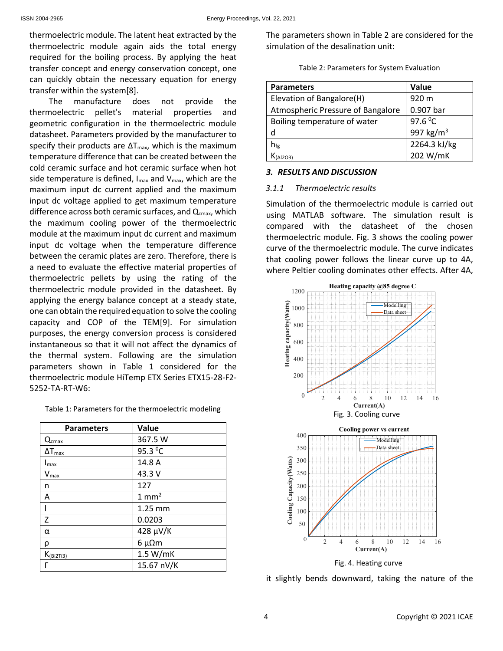thermoelectric module. The latent heat extracted by the thermoelectric module again aids the total energy required for the boiling process. By applying the heat transfer concept and energy conservation concept, one can quickly obtain the necessary equation for energy transfer within the system[8].

The manufacture does not provide the thermoelectric pellet's material properties and geometric configuration in the thermoelectric module datasheet. Parameters provided by the manufacturer to specify their products are  $\Delta T_{\text{max}}$ , which is the maximum temperature difference that can be created between the cold ceramic surface and hot ceramic surface when hot side temperature is defined,  $I_{\text{max}}$  and  $V_{\text{max}}$ , which are the maximum input dc current applied and the maximum input dc voltage applied to get maximum temperature difference across both ceramic surfaces, and Q<sub>cmax</sub>, which the maximum cooling power of the thermoelectric module at the maximum input dc current and maximum input dc voltage when the temperature difference between the ceramic plates are zero. Therefore, there is a need to evaluate the effective material properties of thermoelectric pellets by using the rating of the thermoelectric module provided in the datasheet. By applying the energy balance concept at a steady state, one can obtain the required equation to solve the cooling capacity and COP of the TEM[9]. For simulation purposes, the energy conversion process is considered instantaneous so that it will not affect the dynamics of the thermal system. Following are the simulation parameters shown in Table 1 considered for the thermoelectric module HiTemp ETX Series ETX15-28-F2- 5252-TA-RT-W6:

| <b>Parameters</b> | Value            |
|-------------------|------------------|
| $Q_{cmax}$        | 367.5 W          |
| $\Delta T_{max}$  | 95.3 °C          |
| $I_{\text{max}}$  | 14.8 A           |
| $V_{max}$         | 43.3 V           |
| n                 | 127              |
| А                 | $1 \text{ mm}^2$ |
|                   | 1.25 mm          |
| Z                 | 0.0203           |
| α                 | 428 µV/K         |
| ρ                 | $6 \mu \Omega$ m |
| $K_{(Bi2Ti3)}$    | 1.5 W/mK         |
|                   | 15.67 nV/K       |

The parameters shown in Table 2 are considered for the simulation of the desalination unit:

Table 2: Parameters for System Evaluation

| <b>Parameters</b>                 | Value                 |
|-----------------------------------|-----------------------|
| Elevation of Bangalore(H)         | 920 m                 |
| Atmospheric Pressure of Bangalore | 0.907 bar             |
| Boiling temperature of water      | 97.6 $^{0}C$          |
| d                                 | 997 kg/m <sup>3</sup> |
| $h_{\text{fg}}$                   | 2264.3 kJ/kg          |
| $\zeta$ (Al2O3)                   | 202 W/mK              |

# *3. RESULTS AND DISCUSSION*

# *3.1.1 Thermoelectric results*

Simulation of the thermoelectric module is carried out using MATLAB software. The simulation result is compared with the datasheet of the chosen thermoelectric module. Fig. 3 shows the cooling power curve of the thermoelectric module. The curve indicates that cooling power follows the linear curve up to 4A, where Peltier cooling dominates other effects. After 4A,



it slightly bends downward, taking the nature of the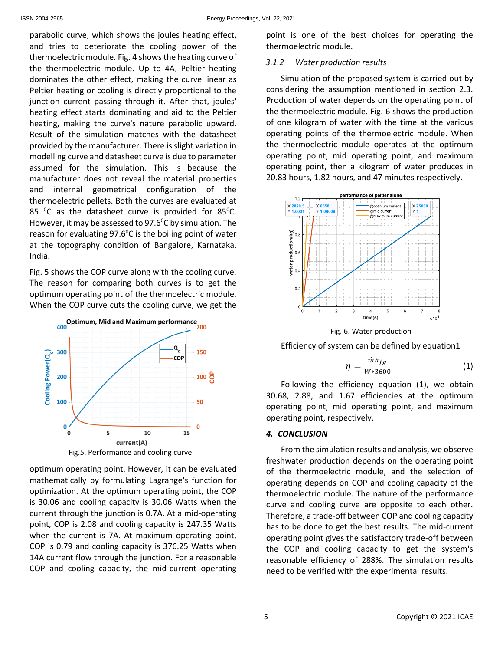parabolic curve, which shows the joules heating effect, and tries to deteriorate the cooling power of the thermoelectric module. Fig. 4 shows the heating curve of the thermoelectric module. Up to 4A, Peltier heating dominates the other effect, making the curve linear as Peltier heating or cooling is directly proportional to the junction current passing through it. After that, joules' heating effect starts dominating and aid to the Peltier heating, making the curve's nature parabolic upward. Result of the simulation matches with the datasheet provided by the manufacturer. There is slight variation in modelling curve and datasheet curve is due to parameter assumed for the simulation. This is because the manufacturer does not reveal the material properties and internal geometrical configuration of the thermoelectric pellets. Both the curves are evaluated at 85 $\degree$ C as the datasheet curve is provided for 85 $\degree$ C. However, it may be assessed to 97.6 $^0$ C by simulation. The reason for evaluating 97.6 $\degree$ C is the boiling point of water at the topography condition of Bangalore, Karnataka, India.

Fig. 5 shows the COP curve along with the cooling curve. The reason for comparing both curves is to get the optimum operating point of the thermoelectric module. When the COP curve cuts the cooling curve, we get the



optimum operating point. However, it can be evaluated mathematically by formulating Lagrange's function for optimization. At the optimum operating point, the COP is 30.06 and cooling capacity is 30.06 Watts when the current through the junction is 0.7A. At a mid-operating point, COP is 2.08 and cooling capacity is 247.35 Watts when the current is 7A. At maximum operating point, COP is 0.79 and cooling capacity is 376.25 Watts when 14A current flow through the junction. For a reasonable COP and cooling capacity, the mid-current operating point is one of the best choices for operating the thermoelectric module.

## *3.1.2 Water production results*

Simulation of the proposed system is carried out by considering the assumption mentioned in section 2.3. Production of water depends on the operating point of the thermoelectric module. Fig. 6 shows the production of one kilogram of water with the time at the various operating points of the thermoelectric module. When the thermoelectric module operates at the optimum operating point, mid operating point, and maximum operating point, then a kilogram of water produces in 20.83 hours, 1.82 hours, and 47 minutes respectively.



Fig. 6. Water production

Efficiency of system can be defined by equation1

$$
\eta = \frac{mh_{fg}}{W*3600} \tag{1}
$$

Following the efficiency equation (1), we obtain 30.68, 2.88, and 1.67 efficiencies at the optimum operating point, mid operating point, and maximum operating point, respectively.

## *4. CONCLUSION*

From the simulation results and analysis, we observe freshwater production depends on the operating point of the thermoelectric module, and the selection of operating depends on COP and cooling capacity of the thermoelectric module. The nature of the performance curve and cooling curve are opposite to each other. Therefore, a trade-off between COP and cooling capacity has to be done to get the best results. The mid-current operating point gives the satisfactory trade-off between the COP and cooling capacity to get the system's reasonable efficiency of 288%. The simulation results need to be verified with the experimental results.